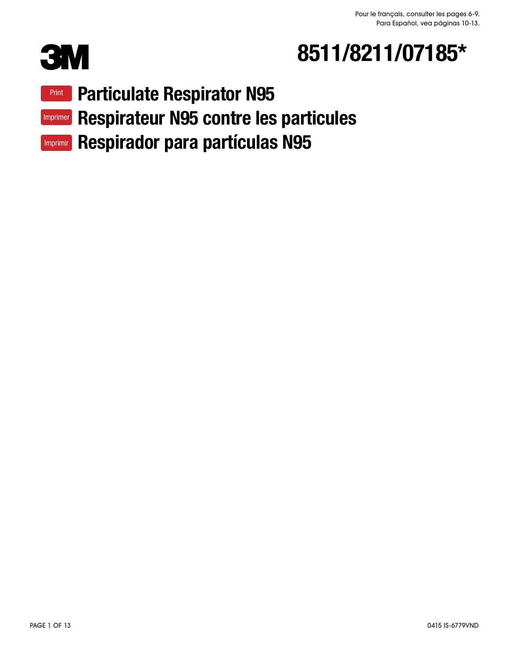

# 8511/8211/07185\*

Particulate Respirator N95 Print

Imprimer Respirateur N95 contre les particules

Imprimir Respirador para partículas N95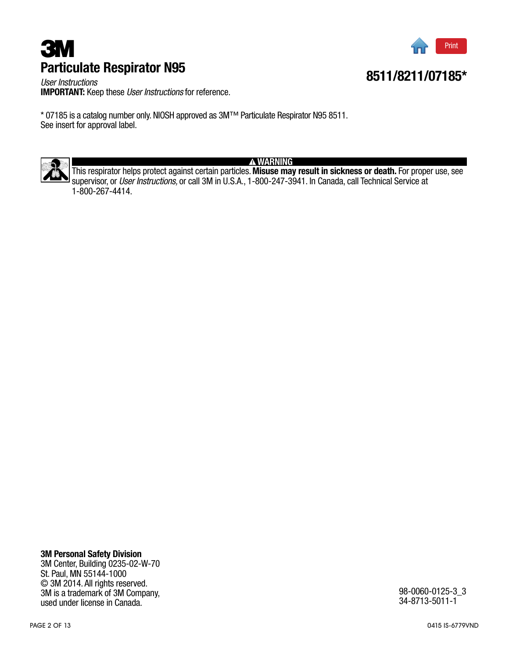# Particulate Respirator N95 **3Μ** Print



8511/8211/07185\*

*User Instructions* IMPORTANT: Keep these *User Instructions* for reference.

\* 07185 is a catalog number only. NIOSH approved as 3M™ Particulate Respirator N95 8511. See insert for approval label.



WARNING

This respirator helps protect against certain particles. Misuse may result in sickness or death. For proper use, see supervisor, or *User Instructions,* or call 3M in U.S.A., 1-800-247-3941. In Canada, call Technical Service at 1-800-267-4414.

#### 3M Personal Safety Division 3M Center, Building 0235-02-W-70 St. Paul, MN 55144-1000

© 3M 2014. All rights reserved. 3M is a trademark of 3M Company, used under license in Canada.

98-0060-0125-3\_3 34-8713-5011-1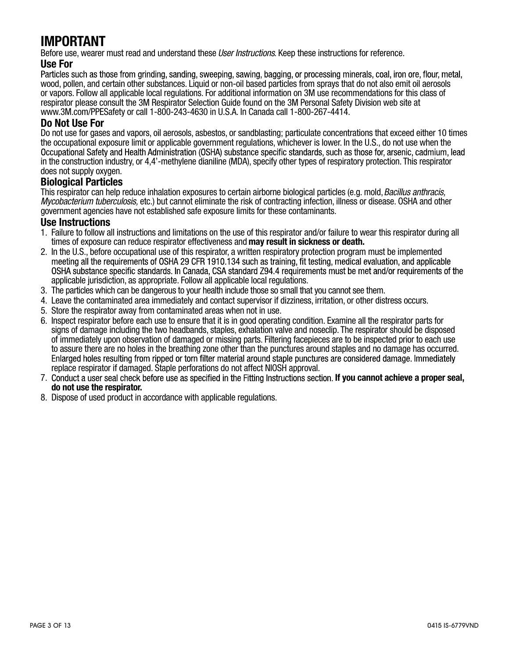# IMPORTANT

Before use, wearer must read and understand these *User Instructions*. Keep these instructions for reference.

Use For<br>Particles such as those from grinding, sanding, sweeping, sawing, bagging, or processing minerals, coal, iron ore, flour, metal, wood, pollen, and certain other substances. Liquid or non-oil based particles from sprays that do not also emit oil aerosols or vapors. Follow all applicable local regulations. For additional information on 3M use recommendations for this class of respirator please consult the 3M Respirator Selection Guide found on the 3M Personal Safety Division web site at www.3M.com/PPESafety or call 1-800-243-4630 in U.S.A. In Canada call 1-800-267-4414.

#### Do Not Use For

Do not use for gases and vapors, oil aerosols, asbestos, or sandblasting; particulate concentrations that exceed either 10 times the occupational exposure limit or applicable government regulations, whichever is lower. In the U.S., do not use when the<br>Occupational Safety and Health Administration (OSHA) substance specific standards, such as those fo in the construction industry, or 4,4'-methylene dianiline (MDA), specify other types of respiratory protection. This respirator does not supply oxygen.

#### Biological Particles

This respirator can help reduce inhalation exposures to certain airborne biological particles (e.g. mold,*Bacillus anthracis, Mycobacterium tuberculosis,* etc.) but cannot eliminate the risk of contracting infection, illness or disease. OSHA and other government agencies have not established safe exposure limits for these contaminants.

#### Use Instructions

- 1. Failure to follow all instructions and limitations on the use of this respirator and/or failure to wear this respirator during all times of exposure can reduce respirator effectiveness and **may result in sickness or death.**
- 2. In the U.S., before occupational use of this respirator, a written respiratory protection program must be implemented OSHA substance specific standards. In Canada, CSA standard Z94.4 requirements must be met and/or requirements of the applicable jurisdiction, as appropriate. Follow all applicable local regulations.
- 3. The particles which can be dangerous to your health include those so small that you cannot see them.
- 4. Leave the contaminated area immediately and contact supervisor if dizziness, irritation, or other distress occurs.
- 5. Store the respirator away from contaminated areas when not in use.
- 6. Inspect respirator before each use to ensure that it is in good operating condition. Examine all the respirator parts for signs of damage including the two headbands, staples, exhalation valve and noseclip. The respirator should be disposed of immediately upon observation of damaged or missing parts. Filtering facepieces are to be inspected prior to each use to assure there are no holes in the breathing zone other than the punctures around staples and no damage has occurred. replace respirator if damaged. Staple perforations do not affect NIOSH approval.
- 7. Conduct a user seal check before use as specified in the Fitting Instructions section. If you cannot achieve a proper seal, do not use the respirator.
- 8. Dispose of used product in accordance with applicable regulations.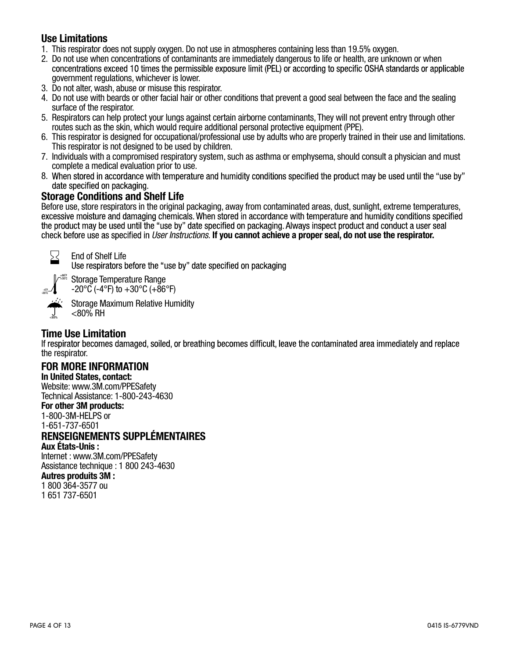### Use Limitations

- 1. This respirator does not supply oxygen. Do not use in atmospheres containing less than 19.5% oxygen.
- 2. Do not use when concentrations of contaminants are immediately dangerous to life or health, are unknown or when<br>concentrations exceed 10 times the permissible exposure limit (PEL) or according to specific OSHA standards government regulations, whichever is lower.
- 3. Do not alter, wash, abuse or misuse this respirator.
- 4. Do not use with beards or other facial hair or other conditions that prevent a good seal between the face and the sealing surface of the respirator.
- 5. Respirators can help protect your lungs against certain airborne contaminants, They will not prevent entry through other routes such as the skin, which would require additional personal protective equipment (PPE).
- 6. This respirator is designed for occupational/professional use by adults who are properly trained in their use and limitations. This respirator is not designed to be used by children.
- 7. Individuals with a compromised respiratory system, such as asthma or emphysema, should consult a physician and must complete a medical evaluation prior to use.
- 8. When stored in accordance with temperature and humidity conditions specified the product may be used until the "use by" date specified on packaging.

### Storage Conditions and Shelf Life

Before use, store respirators in the original packaging, away from contaminated areas, dust, sunlight, extreme temperatures,<br>excessive moisture and damaging chemicals. When stored in accordance with temperature and humidit the product may be used until the "use by" date specified on packaging. Always inspect product and conduct a user seal *User Instructions.* If you cannot achieve a proper seal, do not use the respirator.



End of Shelf Life<br>Use respirators before the "use by" date specified on packaging

 $\stackrel{\tiny\text{!}}{\tiny\text{30}^\text{eff}}$  Storage Temperature Range -4˚F -20˚C

<80%

 $-20^{\circ}$ C (-4 $^{\circ}$ F) to  $+30^{\circ}$ C ( $+86^{\circ}$ F) Storage Maximum Relative Humidity <80% RH

**Time Use Limitation**<br>If respirator becomes damaged, soiled, or breathing becomes difficult, leave the contaminated area immediately and replace the respirator.

#### FOR MORE INFORMATION

In United States, contact: Website: www.3M.com/PPESafety Technical Assistance: 1-800-243-4630

#### For other 3M products:

1-800-3M-HELPS or 1-651-737-6501

## RENSEIGNEMENTS SUPPLÉMENTAIRES

Aux États-Unis : Internet : www.3M.com/PPESafety

Assistance technique : 1 800 243-4630

### Autres produits 3M :

1 800 364-3577 ou 1 651 737-6501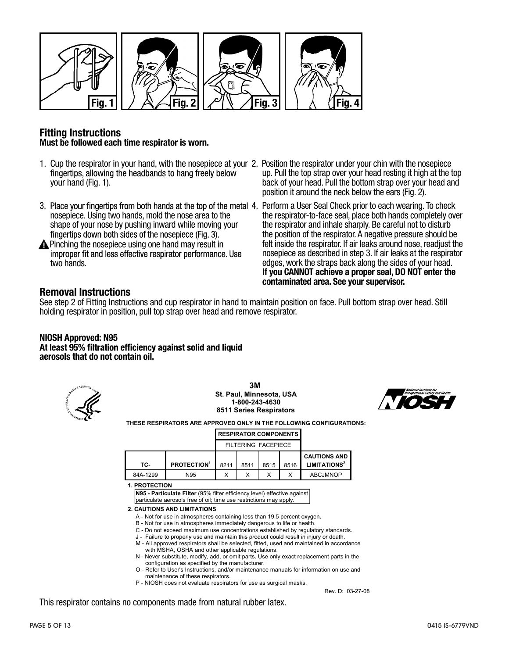

#### Fitting Instructions Must be followed each time respirator is worn.

- 1. Cup the respirator in your hand, with the nosepiece at your 2. Position the respirator under your chin with the nosepiece your hand (Fig. 1).
- 3. Place your fingertips from both hands at the top of the metal 4. Perform a User Seal Check prior to each wearing. To check nosepiece. Using two hands, mold the nose area to the shape of your nose by pushing inward while moving your fingertips down both sides of the nosepiece (Fig. 3).
- Pinching the nosepiece using one hand may result in<br>improper fit and less effective respirator performance. Use two hands.
- up. Pull the top strap over your head resting it high at the top back of your head. Pull the bottom strap over your head and position it around the neck below the ears (Fig. 2).
- the respirator-to-face seal, place both hands completely over the respirator and inhale sharply. Be careful not to disturb the position of the respirator. A negative pressure should be felt inside the respirator. If air leaks around nose, readjust the nosepiece as described in step 3. If air leaks at the respirator edges, work the straps back along the sides of your head. If you CANNOT achieve a proper seal, DO NOT enter the contaminated area. See your supervisor.

Rev. D: 03-27-08

#### Removal Instructions

See step 2 of Fitting Instructions and cup respirator in hand to maintain position on face. Pull bottom strap over head. Still holding respirator in position, pull top strap over head and remove respirator.

## NIOSH Approved: N95<br>At least 95% filtration efficiency against solid and liquid aerosols that do not contain oil.



**3M St. Paul, Minnesota, USA 1-800-243-4630 8511 Series Respirators**



**THESE RESPIRATORS ARE APPROVED ONLY IN THE FOLLOWING CONFIGURATIONS:**

| <b>RESPIRATOR COMPONENTS I</b> |
|--------------------------------|
|--------------------------------|

|          | FILTERING FACEPIECE            |      |      |      |      |                          |
|----------|--------------------------------|------|------|------|------|--------------------------|
|          |                                |      |      |      |      | <b>CAUTIONS AND</b>      |
| TC-      | <b>PROTECTION</b> <sup>1</sup> | 8211 | 8511 | 8515 | 8516 | LIMITATIONS <sup>2</sup> |
| 84A-1299 | N95                            |      |      |      |      | <b>ABCJMNOP</b>          |

**1. PROTECTION**

**N95 - Particulate Filter** (95% filter efficiency level) effective against particulate aerosols free of oil; time use restrictions may apply.

**2. CAUTIONS AND LIMITATIONS**

- A Not for use in atmospheres containing less than 19.5 percent oxygen.
- B Not for use in atmospheres immediately dangerous to life or health.
- C Do not exceed maximum use concentrations established by regulatory standards.
- J Failure to properly use and maintain this product could result in injury or death.
- M All approved respirators shall be selected, fitted, used and maintained in accordance with MSHA, OSHA and other applicable regulations.
- N Never substitute, modify, add, or omit parts. Use only exact replacement parts in the configuration as specified by the manufacturer.
- O Refer to User's Instructions, and/or maintenance manuals for information on use and maintenance of these respirators.
- P NIOSH does not evaluate respirators for use as surgical masks.

This respirator contains no components made from natural rubber latex.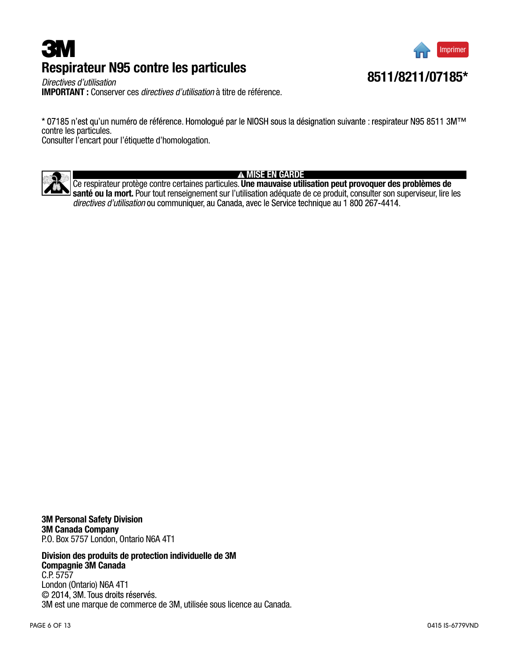# Respirateur N95 contre les particules **3M**



*Directives d'utilisation* IMPORTANT : Conserver ces *directives d'utilisation* à titre de référence.

\* 07185 n'est qu'un numéro de référence. Homologué par le NIOSH sous la désignation suivante : respirateur N95 8511 3MTM contre les particules.

Consulter l'encart pour l'étiquette d'homologation.



#### **A MISE EN GARDE**

Ce respirateur protège contre certaines particules. Une mauvaise utilisation peut provoquer des problèmes de santé ou la mort. Pour tout renseignement sur l'utilisation adéquate de ce produit, consulter son superviseur, lire les *directives d'utilisation*

3M Personal Safety Division 3M Canada Company P.O. Box 5757 London, Ontario N6A 4T1

Division des produits de protection individuelle de 3M Compagnie 3M Canada C.P. 5757 London (Ontario) N6A 4T1<br>© 2014, 3M. Tous droits réservés. 3M est une marque de commerce de 3M, utilisée sous licence au Canada.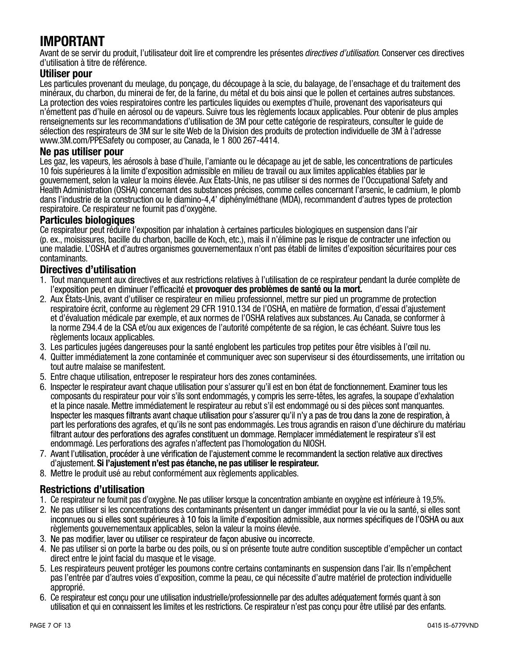# IMPORTANT

Avant de se servir du produit, l'utilisateur doit lire et comprendre les présentes *directives d'utilisation*. Conserver ces directives d'utilisation à titre de référence.

#### Utiliser pour

Les particules provenant du meulage, du ponçage, du découpage à la scie, du balayage, de l'ensachage et du traitement des minéraux, du charbon, du minerai de fer, de la farine, du métal et du bois ainsi que le pollen et certaines autres substances. La protection des voies respiratoires contre les particules liquides ou exemptes d'huile, provenant des vaporisateurs qui n'émettent pas d'huile en aérosol ou de vapeurs. Suivre tous les règlements locaux applicables. Pour obtenir de plus amples renseignements sur les recommandations d'utilisation de 3M pour cette catégorie de respirateurs, consulter le guide de sélection des respirateurs de 3M sur le site Web de la Division des produits de protection individuelle de 3M à l'adresse www.3M.com/PPESafety ou composer, au Canada, le 1 800 267-4414.

#### Ne pas utiliser pour

Les gaz, les vapeurs, les aérosols à base d'huile, l'amiante ou le décapage au jet de sable, les concentrations de particules 10 fois supérieures à la limite d'exposition admissible en milieu de travail ou aux limites applicables établies par le gouvernement, selon la valeur la moins élevée. Aux États-Unis, ne pas utiliser si des normes de l'Occupational Safety and Health Administration (OSHA) concernant des substances précises, comme celles concernant l'arsenic, le cadmium, le plomb dans l'industrie de la construction ou le diamino-4,4' diphénylméthane (MDA), recommandent d'autres types de protection respiratoire. Ce respirateur ne fournit pas d'oxygène.

#### Particules biologiques

Ce respirateur peut réduire l'exposition par inhalation à certaines particules biologiques en suspension dans l'air (p. ex., moisissures, bacille du charbon, bacille de Koch, etc.), mais il n'élimine pas le risque de contracter une infection ou une maladie. L'OSHA et d'autres organismes gouvernementaux n'ont pas établi de limites d'exposition sécuritaires pour ces contaminants.

#### Directives d'utilisation

- 1. Tout manquement aux directives et aux restrictions relatives à l'utilisation de ce respirateur pendant la durée complète de l'exposition peut en diminuer l'efficacité et provoquer des problèmes de santé ou la mort.
- 2. Aux États-Unis, avant d'utiliser ce respirateur en milieu professionnel, mettre sur pied un programme de protection respiratoire écrit, conforme au règlement 29 CFR 1910.134 de l'OSHA, en matière de formation, d'essai d'ajustement et d'évaluation médicale par exemple, et aux normes de l'OSHA relatives aux substances. Au Canada, se conformer à la norme Z94.4 de la CSA et/ou aux exigences de l'autorité compétente de sa région, le cas échéant. Suivre tous les règlements locaux applicables.
- 3. Les particules jugées dangereuses pour la santé englobent les particules trop petites pour être visibles à l'œil nu.
- 4. Quitter immédiatement la zone contaminée et communiquer avec son superviseur si des étourdissements, une irritation ou tout autre malaise se manifestent.
- 5. Entre chaque utilisation, entreposer le respirateur hors des zones contaminées.
- 6. Inspecter le respirateur avant chaque utilisation pour s'assurer qu'il est en bon état de fonctionnement. Examiner tous les composants du respirateur pour voir s'ils sont endommagés, y compris les serre-têtes, les agrafes, la soupape d'exhalation et la pince nasale. Mettre immédiatement le respirateur au rebut s'il est endommagé ou si des pièces sont manquantes.<br>Inspecter les masques filtrants avant chaque utilisation pour s'assurer qu'il n'y a pas de trou dans la part les perforations des agrafes, et qu'ils ne sont pas endommagés. Les trous agrandis en raison d'une déchirure du matériau<br>filtrant autour des perforations des agrafes constituent un dommage. Remplacer immédiatement le endommagé. Les perforations des agrafes n'affectent pas l'homologation du NIOSH.
- 7. Avant l'utilisation, procéder à une vérification de l'aiustement comme le recommandent la section relative aux directives d'ajustement. Si l'ajustement n'est pas étanche, ne pas utiliser le respirateur.
- 8. Mettre le produit usé au rebut conformément aux règlements applicables.

### Restrictions d'utilisation

- 1. Ce respirateur ne fournit pas d'oxygène. Ne pas utiliser lorsque la concentration ambiante en oxygène est inférieure à 19,5%.
- 2. Ne pas utiliser si les concentrations des contaminants présentent un danger immédiat pour la vie ou la santé, si elles sont règlements gouvernementaux applicables, selon la valeur la moins élevée.
- 3. Ne pas modifier, laver ou utiliser ce respirateur de façon abusive ou incorrecte.
- 4. Ne pas utiliser si on porte la barbe ou des poils, ou si on présente toute autre condition susceptible d'empêcher un contact direct entre le joint facial du masque et le visage.
- 5. Les respirateurs peuvent protéger les poumons contre certains contaminants en suspension dans l'air. Ils n'empêchent pas l'entrée par d'autres voies d'exposition, comme la peau, ce qui nécessite d'autre matériel de protection individuelle approprié.
- 6. Ce respirateur est conçu pour une utilisation industrielle/professionnelle par des adultes adéquatement formés quant à son utilisation et qui en connaissent les limites et les restrictions. Ce respirateur n'est pas conçu pour être utilisé par des enfants.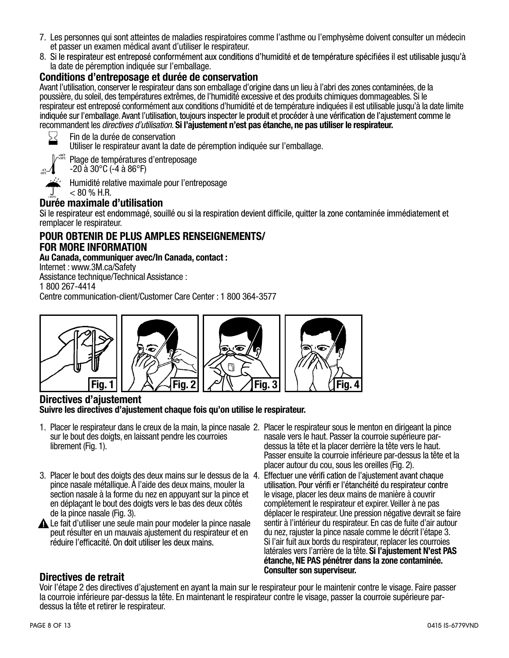- 7. Les personnes qui sont atteintes de maladies respiratoires comme l'asthme ou l'emphysème doivent consulter un médecin et passer un examen médical avant d'utiliser le respirateur.
- 8. Si le respirateur est entreposé conformément aux conditions d'humidité et de température spécifiées il est utilisable jusqu'à la date de péremption indiquée sur l'emballage.

#### Conditions d'entreposage et durée de conservation

Avant l'utilisation, conserver le respirateur dans son emballage d'origine dans un lieu à l'abri des zones contaminées, de la poussière, du soleil, des températures extrêmes, de l'humidité excessive et des produits chimiques dommageables. Si le respirateur est entreposé conformément aux conditions d'humidité et de température indiquées il est utilisable jusqu'à la date limite<br>indiquée sur l'emballage. Avant l'utilisation, toujours inspecter le produit et procéder recommandent les *directives d'utilisation.* Si l'ajustement n'est pas étanche, ne pas utiliser le respirateur.



Fin de la durée de conservation Utiliser le respirateur avant la date de péremption indiquée sur l'emballage.

+86˚F +30˚C Plage de températures d'entreposage



 $-20$  à  $30^{\circ}$ C ( $-4$  à  $86^{\circ}$ F)

Humidité relative maximale pour l'entreposage  $< 80 \%$  H.R.

## Durée maximale d'utilisation

remplacer le respirateur.

#### POUR OBTENIR DE PLUS AMPLES RENSEIGNEMENTS/ FOR MORE INFORMATION

#### Au Canada, communiquer avec/In Canada, contact :

Internet : www.3M.ca/Safety

Assistance technique/Technical Assistance :

1 800 267-4414

Centre communication-client/Customer Care Center : 1 800 364-3577



#### Directives d'ajustement Suivre les directives d'ajustement chaque fois qu'on utilise le respirateur.

- 1. Placer le respirateur dans le creux de la main, la pince nasale 2. Placer le respirateur sous le menton en dirigeant la pince sur le bout des doigts, en laissant pendre les courroies librement (Fig. 1).
- 3. Placer le bout des doigts des deux mains sur le dessus de la 4. pince nasale métallique. À l'aide des deux mains, mouler la section nasale à la forme du nez en appuyant sur la pince et en déplaçant le bout des doigts vers le bas des deux côtés de la pince nasale (Fig. 3).
- Le fait d'utiliser une seule main pour modeler la pince nasale peut résulter en un mauvais ajustement du respirateur et en<br>réduire l'efficacité. On doit utiliser les deux mains.
- nasale vers le haut. Passer la courroie supérieure pardessus la tête et la placer derrière la tête vers le haut. Passer ensuite la courroie inférieure par-dessus la tête et la placer autour du cou, sous les oreilles (Fig. 2).
- utilisation. Pour vérifi er l'étanchéité du respirateur contre le visage, placer les deux mains de manière à couvrir complètement le respirateur et expirer. Veiller à ne pas déplacer le respirateur. Une pression négative devrait se faire sentir à l'intérieur du respirateur. En cas de fuite d'air autour du nez, rajuster la pince nasale comme le décrit l'étape 3. Si l'air fuit aux bords du respirateur, replacer les courroies latérales vers l'arrière de la tête. Si l'ajustement N'est PAS étanche, NE PAS pénétrer dans la zone contaminée.

#### Directives de retrait.

Voir l'étape 2 des directives d'ajustement en ayant la main sur le respirateur pour le maintenir contre le visage. Faire passer la courroie inférieure par-dessus la tête. En maintenant le respirateur contre le visage, passer la courroie supérieure pardessus la tête et retirer le respirateur.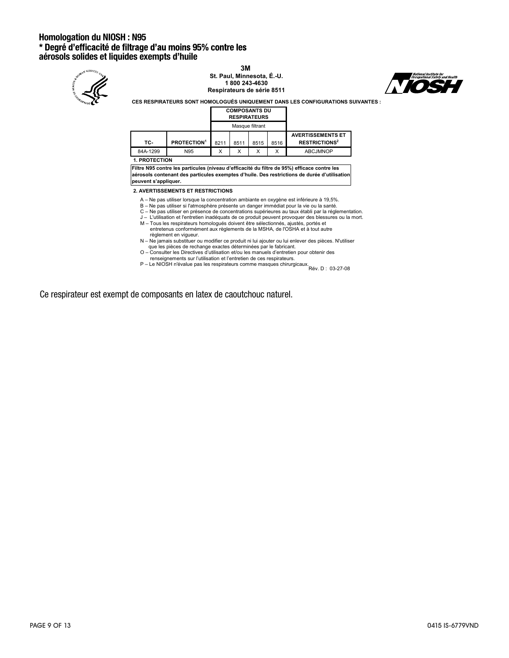# Homologation du NIOSH : N95<br>\* Degré d'efficacité de filtrage d'au moins 95% contre les aérosols solides et liquides exempts d'huile



**3M St. Paul, Minnesota, É.-U. 1 800 243-4630 Respirateurs de série 8511**



**CES RESPIRATEURS SONT HOMOLOGUÉS UNIQUEMENT DANS LES CONFIGURATIONS SUIVANTES :**

|  | <b>COMPOSANTS DU</b> |  |
|--|----------------------|--|
|  | <b>RESPIRATEURS</b>  |  |

|          |                                | Masque filtrant |      |      |      |                                                             |
|----------|--------------------------------|-----------------|------|------|------|-------------------------------------------------------------|
| TC-      | <b>PROTECTION</b> <sup>1</sup> | 8211            | 8511 | 8515 | 8516 | <b>AVERTISSEMENTS ET</b><br><b>RESTRICTIONS<sup>2</sup></b> |
| 84A-1299 | N95                            | Х               |      |      | X    | <b>ABCJMNOP</b>                                             |

**1. PROTECTION**

**Filtre N95 contre les particules (niveau d'efficacité du filtre de 95%) efficace contre les aérosols contenant des particules exemptes d'huile. Des restrictions de durée d'utilisation peuvent s'appliquer.**

**2. AVERTISSEMENTS ET RESTRICTIONS**

- 
- 
- 
- A Ne pas utiliser lorsque la concentration ambiante en oxygène est inférieure à 19,5%.<br>B Ne pas utiliser si l'atmosphère présente un dangre immédiat pour la vie ou la santé.<br>C Ne pas utiliser en présence de concentra règlement en vigueur.
- N Ne jamais substituer ou modifier ce produit ni lui ajouter ou lui enlever des pièces. N'utiliser
- que les pièces de rechange exactes déterminées par le fabricant. O Consulter les Directives d'utilisation et/ou les manuels d'entretien pour obtenir des renseignements sur l'utilisation et l'entretien de ces respirateurs. P – Le NIOSH n'évalue pas les respirateurs comme masques chirurgicaux.
- Rév. D : 03-27-08

Ce respirateur est exempt de composants en latex de caoutchouc naturel.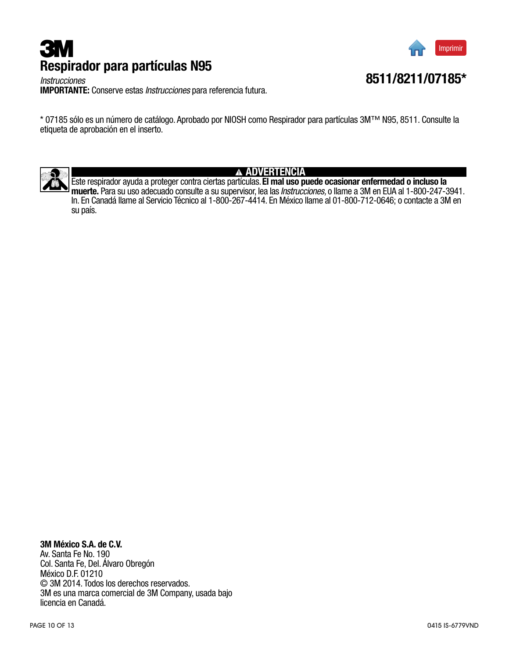# **3M** Respirador para partículas N95



8511/8211/07185\*

*Instrucciones* IMPORTANTE: Conserve estas *Instrucciones* para referencia futura.

\* 07185 sólo es un número de catálogo. Aprobado por NIOSH como Respirador para partículas 3M™ N95, 8511. Consulte la etiqueta de aprobación en el inserto.



#### ADVERTENCIA

Este respirador ayuda a proteger contra ciertas partículas. El mal uso puede ocasionar enfermedad o incluso la<br>muerte. Para su uso adecuado consulte a su supervisor, lea las *Instrucciones*, o llame a 3M en EUA al 1-800-24 In. En Canadá llame al Servicio Técnico al 1-800-267-4414. En México llame al 01-800-712-0646; o contacte a 3M en su país.

3M México S.A. de C.V. Av. Santa Fe No. 190 Col. Santa Fe, Del. Álvaro Obregón

México D.F. 01210 © 3M 2014. Todos los derechos reservados. 3M es una marca comercial de 3M Company, usada bajo licencia en Canadá.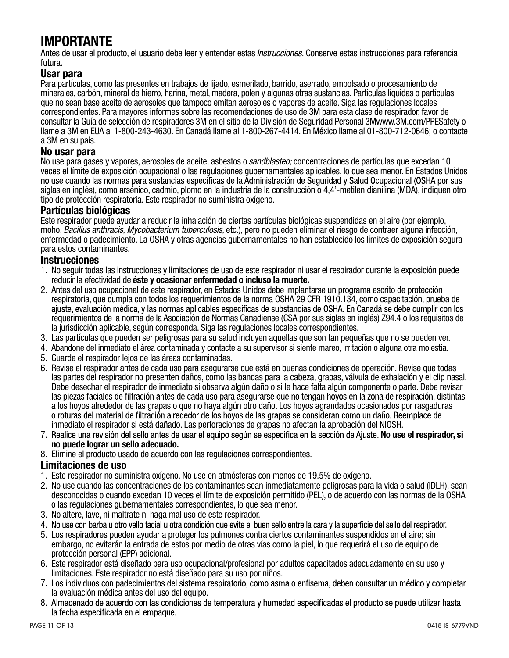# IMPORTANTE

Antes de usar el producto, el usuario debe leer y entender estas *Instrucciones.* Conserve estas instrucciones para referencia futura.

#### Usar para

Para partículas, como las presentes en trabajos de lijado, esmerilado, barrido, aserrado, embolsado o procesamiento de minerales, carbón, mineral de hierro, harina, metal, madera, polen y algunas otras sustancias. Partículas líquidas o partículas que no sean base aceite de aerosoles que tampoco emitan aerosoles o vapores de aceite. Siga las regulaciones locales correspondientes. Para mayores informes sobre las recomendaciones de uso de 3M para esta clase de respirador, favor de consultar la Guía de selección de respiradores 3M en el sitio de la División de Seguridad Personal 3Mwww.3M.com/PPESafety o llame a 3M en EUA al 1-800-243-4630. En Canadá llame al 1-800-267-4414. En México llame al 01-800-712-0646; o contacte a 3M en su país.

#### No usar para

No use para gases y vapores, aerosoles de aceite, asbestos o *sandblasteo;* concentraciones de partículas que excedan 10 veces el límite de exposición ocupacional o las regulaciones gubernamentales aplicables, lo que sea menor. En Estados Unidos<br>no use cuando las normas para sustancias específicas de la Administración de Seguridad y Salud Oc siglas en inglés), como arsénico, cadmio, plomo en la industria de la construcción o 4,4'-metilen dianilina (MDA), indiquen otro tipo de protección respiratoria. Este respirador no suministra oxígeno.

#### Partículas biológicas

Este respirador puede ayudar a reducir la inhalación de ciertas partículas biológicas suspendidas en el aire (por ejemplo, moho, *Bacillus anthracis, Mycobacterium tuberculosis,* etc.), pero no pueden eliminar el riesgo de contraer alguna infección, enfermedad o padecimiento. La OSHA y otras agencias gubernamentales no han establecido los límites de exposición segura para estos contaminantes.

#### **Instrucciones**

- 1. No seguir todas las instrucciones y limitaciones de uso de este respirador ni usar el respirador durante la exposición puede reducir la efectividad de éste y ocasionar enfermedad o incluso la muerte.
- 2. Antes del uso ocupacional de este respirador, en Estados Unidos debe implantarse un programa escrito de protección respiratoria, que cumpla con todos los requerimientos de la norma OSHA 29 CFR 1910.134, como capacitación, prueba de<br>aiuste, evaluación médica, y las normas aplicables específicas de substancias de OSHA. En Canadá se debe requerimientos de la norma de la Asociación de Normas Canadiense (CSA por sus siglas en inglés) Z94.4 o los requisitos de la jurisdicción aplicable, según corresponda. Siga las regulaciones locales correspondientes.
- 3. Las partículas que pueden ser peligrosas para su salud incluyen aquellas que son tan pequeñas que no se pueden ver.
- 4. Abandone del inmediato el área contaminada y contacte a su supervisor si siente mareo, irritación o alguna otra molestia.
- 5. Guarde el respirador lejos de las áreas contaminadas.
- 6. Revise el respirador antes de cada uso para asegurarse que está en buenas condiciones de operación. Revise que todas las partes del respirador no presenten daños, como las bandas para la cabeza, grapas, válvula de exhalación y el clip nasal. Debe desechar el respirador de inmediato si observa algún daño o si le hace falta algún componente o parte. Debe revisar<br>las piezas faciales de filtración antes de cada uso para asegurarse que no tengan hoyos en la zona de a los hoyos alrededor de las grapas o que no haya algún otro daño. Los hoyos agrandados ocasionados por rasgaduras inmediato el respirador si está dañado. Las perforaciones de grapas no afectan la aprobación del NIOSH.
- 7. Realice una revisión del sello antes de usar el equipo según se especifica en la sección de Ajuste. No use el respirador, si no puede lograr un sello adecuado.
- 8. Elimine el producto usado de acuerdo con las regulaciones correspondientes.

#### Limitaciones de uso

- 1. Este respirador no suministra oxígeno. No use en atmósferas con menos de 19.5% de oxígeno.
- 2. No use cuando las concentraciones de los contaminantes sean inmediatamente peligrosas para la vida o salud (IDLH), sean desconocidas o cuando excedan 10 veces el límite de exposición permitido (PEL), o de acuerdo con las normas de la OSHA o las regulaciones gubernamentales correspondientes, lo que sea menor.
- 3. No altere, lave, ni maltrate ni haga mal uso de este respirador.
- 4. No use con barba u otro vello facial u otra condición que evite el buen sello entre la cara y la superficie del sello del respirador.
- 5. Los respiradores pueden ayudar a proteger los pulmones contra ciertos contaminantes suspendidos en el aire; sin embargo, no evitarán la entrada de estos por medio de otras vías como la piel, lo que requerirá el uso de equipo de protección personal (EPP) adicional.
- 6. Este respirador está diseñado para uso ocupacional/profesional por adultos capacitados adecuadamente en su uso y limitaciones. Este respirador no está diseñado para su uso por niños.
- 7. Los individuos con padecimientos del sistema respiratorio, como asma o enfisema, deben consultar un médico y completar la evaluación médica antes del uso del equipo.
- 8. Almacenado de acuerdo con las condiciones de temperatura y humedad especificadas el producto se puede utilizar hasta la fecha especificada en el empaque.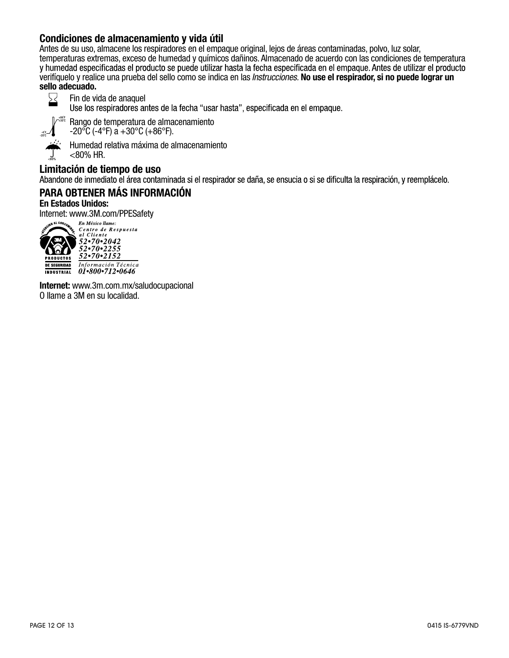#### Condiciones de almacenamiento y vida útil

Antes de su uso, almacene los respiradores en el empaque original, lejos de áreas contaminadas, polvo, luz solar, temperaturas extremas, exceso de humedad y químicos dañinos. Almacenado de acuerdo con las condiciones de temperatura verifíquelo y realice una prueba del sello como se indica en las *Instrucciones.* No use el respirador, si no puede lograr un sello adecuado.



Fin de vida de anaquel<br>Use los respiradores antes de la fecha "usar hasta", especificada en el empaque.



<80%

Rango de temperatura de almacenamiento  $-20\degree$ C (-4 $\degree$ F) a  $+30\degree$ C (+86 $\degree$ F).

Humedad relativa máxima de almacenamiento <80% HR.

Limitación de tiempo de uso<br>Abandone de inmediato el área contaminada si el respirador se daña, se ensucia o si se dificulta la respiración, y reemplácelo.

### PARA OBTENER MÁS INFORMACIÓN

#### En Estados Unidos:

Internet: www.3M.com/PPESafety



Centro de Respuesta<br>al Cliente 52.70.2042  $\frac{52 \cdot 70 \cdot 2255}{52 \cdot 70 \cdot 2152}$ Información Técnica<br>01•800•712•0646

Internet: www.3m.com.mx/saludocupacional O llame a 3M en su localidad.